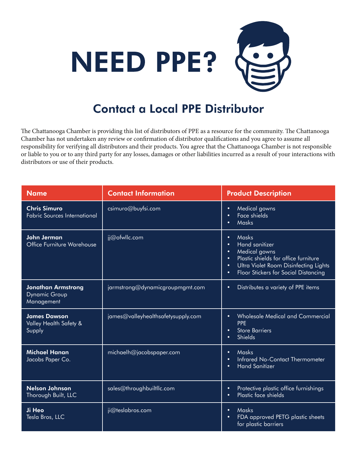

## Contact a Local PPE Distributor

The Chattanooga Chamber is providing this list of distributors of PPE as a resource for the community. The Chattanooga Chamber has not undertaken any review or confirmation of distributor qualifications and you agree to assume all responsibility for verifying all distributors and their products. You agree that the Chattanooga Chamber is not responsible or liable to you or to any third party for any losses, damages or other liabilities incurred as a result of your interactions with distributors or use of their products.

| <b>Name</b>                                                     | <b>Contact Information</b>         | <b>Product Description</b>                                                                                                                                                                                                                                    |
|-----------------------------------------------------------------|------------------------------------|---------------------------------------------------------------------------------------------------------------------------------------------------------------------------------------------------------------------------------------------------------------|
| <b>Chris Simuro</b><br><b>Fabric Sources International</b>      | csimuro@buyfsi.com                 | Medical gowns<br>$\bullet$<br><b>Face shields</b><br>$\bullet$<br><b>Masks</b><br>$\bullet$                                                                                                                                                                   |
| <b>John Jerman</b><br>Office Furniture Warehouse                | jj@ofwllc.com                      | <b>Masks</b><br>$\bullet$<br><b>Hand sanitizer</b><br>$\bullet$<br>Medical gowns<br>$\bullet$<br>Plastic shields for office furniture<br>$\bullet$<br>Ultra Violet Room Disinfecting Lights<br>$\bullet$<br>Floor Stickers for Social Distancing<br>$\bullet$ |
| <b>Jonathan Armstrong</b><br><b>Dynamic Group</b><br>Management | jarmstrong@dynamicgroupmgmt.com    | Distributes a variety of PPE items<br>$\bullet$                                                                                                                                                                                                               |
| <b>James Dawson</b><br>Valley Health Safety &<br>Supply         | james@valleyhealthsafetysupply.com | <b>Wholesale Medical and Commercial</b><br>$\bullet$<br><b>PPE</b><br><b>Store Barriers</b><br>$\bullet$<br><b>Shields</b><br>$\bullet$                                                                                                                       |
| <b>Michael Hanan</b><br>Jacobs Paper Co.                        | michaelh@jacobspaper.com           | <b>Masks</b><br>$\bullet$<br>Infrared No-Contact Thermometer<br>$\bullet$<br><b>Hand Sanitizer</b><br>$\bullet$                                                                                                                                               |
| <b>Nelson Johnson</b><br>Thorough Built, LLC                    | sales@throughbuiltllc.com          | Protective plastic office furnishings<br>$\bullet$<br>Plastic face shields<br>$\bullet$                                                                                                                                                                       |
| Ji Heo<br>Tesla Bros, LLC                                       | ji@teslabros.com                   | Masks<br>$\bullet$<br>FDA approved PETG plastic sheets<br>$\bullet$<br>for plastic barriers                                                                                                                                                                   |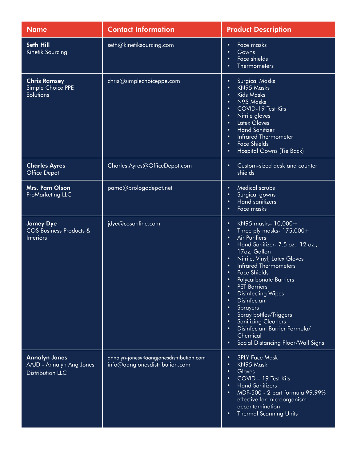| <b>Name</b>                                                                 | <b>Contact Information</b>                                                | <b>Product Description</b>                                                                                                                                                                                                                                                                                                                                                                                                                                                                                                                                                                                                  |
|-----------------------------------------------------------------------------|---------------------------------------------------------------------------|-----------------------------------------------------------------------------------------------------------------------------------------------------------------------------------------------------------------------------------------------------------------------------------------------------------------------------------------------------------------------------------------------------------------------------------------------------------------------------------------------------------------------------------------------------------------------------------------------------------------------------|
| <b>Seth Hill</b><br>Kinetik Sourcing                                        | seth@kinetiksourcing.com                                                  | Face masks<br>$\bullet$<br>Gowns<br>٠<br>Face shields<br>٠<br><b>Thermometers</b>                                                                                                                                                                                                                                                                                                                                                                                                                                                                                                                                           |
| <b>Chris Ramsey</b><br>Simple Choice PPE<br>Solutions                       | chris@simplechoiceppe.com                                                 | <b>Surgical Masks</b><br>$\bullet$<br><b>KN95 Masks</b><br>$\bullet$<br><b>Kids Masks</b><br>$\bullet$<br>N95 Masks<br>$\bullet$<br>COVID-19 Test Kits<br>$\bullet$<br>Nitrile gloves<br>$\bullet$<br><b>Latex Gloves</b><br>$\bullet$<br><b>Hand Sanitizer</b><br>$\bullet$<br><b>Infrared Thermometer</b><br>$\bullet$<br><b>Face Shields</b><br>$\bullet$<br><b>Hospital Gowns (Tie Back)</b><br>٠                                                                                                                                                                                                                       |
| <b>Charles Ayres</b><br><b>Office Depot</b>                                 | Charles.Ayres@OfficeDepot.com                                             | Custom-sized desk and counter<br>$\bullet$<br>shields                                                                                                                                                                                                                                                                                                                                                                                                                                                                                                                                                                       |
| Mrs. Pam Olson<br>ProMarketing LLC                                          | pamo@prologodepot.net                                                     | <b>Medical scrubs</b><br>$\bullet$<br>Surgical gowns<br>٠<br><b>Hand sanitizers</b><br>٠<br>Face masks<br>٠                                                                                                                                                                                                                                                                                                                                                                                                                                                                                                                 |
| <b>Jamey Dye</b><br><b>COS Business Products &amp;</b><br><b>Interiors</b>  | jdye@cosonline.com                                                        | KN95 masks- 10,000+<br>$\bullet$<br>Three ply masks- 175,000+<br>$\bullet$<br><b>Air Purifiers</b><br>$\bullet$<br>Hand Sanitizer- 7.5 oz., 12 oz.,<br>$\bullet$<br>17oz, Gallon<br>Nitrile, Vinyl, Latex Gloves<br>$\bullet$<br><b>Infrared Thermometers</b><br>$\bullet$<br><b>Face Shields</b><br>$\bullet$<br>Polycarbonate Barriers<br><b>PET Barriers</b><br>٠<br><b>Disinfecting Wipes</b><br>$\bullet$<br><b>Disinfectant</b><br>٠<br>Sprayers<br>Spray bottles/Triggers<br><b>Sanitizing Cleaners</b><br>Disinfectant Barrier Formula/<br>$\bullet$<br>Chemical<br>Social Distancing Floor/Wall Signs<br>$\bullet$ |
| <b>Annalyn Jones</b><br>AAJD - Annalyn Ang Jones<br><b>Distribution LLC</b> | annalyn-jones@aangjonesdistribution.com<br>info@aangjonesdistribution.com | <b>3PLY Face Mask</b><br>$\bullet$<br>KN95 Mask<br>$\bullet$<br>Gloves<br>$\bullet$<br>COVID - 19 Test Kits<br>٠<br><b>Hand Sanitizers</b><br>$\bullet$<br>MDF-500 - 2 part formula 99.99%<br>$\bullet$<br>effective for microorganism<br>decontamination<br><b>Thermal Scanning Units</b><br>$\bullet$                                                                                                                                                                                                                                                                                                                     |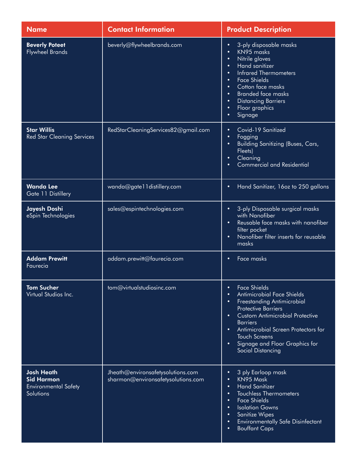| <b>Name</b>                                                                        | <b>Contact Information</b>                                              | <b>Product Description</b>                                                                                                                                                                                                                                                                                                                                                                         |
|------------------------------------------------------------------------------------|-------------------------------------------------------------------------|----------------------------------------------------------------------------------------------------------------------------------------------------------------------------------------------------------------------------------------------------------------------------------------------------------------------------------------------------------------------------------------------------|
| <b>Beverly Poteet</b><br><b>Flywheel Brands</b>                                    | beverly@flywheelbrands.com                                              | 3-ply disposable masks<br>$\bullet$<br>KN95 masks<br>$\bullet$<br>Nitrile gloves<br>$\bullet$<br><b>Hand sanitizer</b><br>$\bullet$<br><b>Infrared Thermometers</b><br>$\bullet$<br><b>Face Shields</b><br>$\bullet$<br>Cotton face masks<br>$\bullet$<br><b>Branded face masks</b><br>$\bullet$<br><b>Distancing Barriers</b><br>$\bullet$<br>Floor graphics<br>$\bullet$<br>Signage<br>$\bullet$ |
| <b>Star Willis</b><br><b>Red Star Cleaning Services</b>                            | RedStarCleaningServices82@gmail.com                                     | Covid-19 Sanitized<br>$\bullet$<br>Fogging<br>$\bullet$<br><b>Building Sanitizing (Buses, Cars,</b><br>$\bullet$<br>Fleets)<br>Cleaning<br>$\bullet$<br><b>Commercial and Residential</b><br>٠                                                                                                                                                                                                     |
| <b>Wanda Lee</b><br>Gate 11 Distillery                                             | wanda@gate11distillery.com                                              | Hand Sanitizer, 16oz to 250 gallons<br>$\bullet$                                                                                                                                                                                                                                                                                                                                                   |
| Jayesh Doshi<br>eSpin Technologies                                                 | sales@espintechnologies.com                                             | 3-ply Disposable surgical masks<br>$\bullet$<br>with Nanofiber<br>Reusable face masks with nanofiber<br>$\bullet$<br>filter pocket<br>Nanofiber filter inserts for reusable<br>$\bullet$<br>masks                                                                                                                                                                                                  |
| <b>Addam Prewitt</b><br>Faurecia                                                   | addam.prewitt@faurecia.com                                              | Face masks<br>$\bullet$                                                                                                                                                                                                                                                                                                                                                                            |
| <b>Tom Sucher</b><br>Virtual Studios Inc.                                          | tom@virtualstudiosinc.com                                               | <b>Face Shields</b><br>$\bullet$<br><b>Antimicrobial Face Shields</b><br>$\bullet$<br>Freestanding Antimicrobial<br>$\bullet$<br><b>Protective Barriers</b><br><b>Custom Antimicrobial Protective</b><br>$\bullet$<br><b>Barriers</b><br>Antimicrobial Screen Protectors for<br>$\bullet$<br><b>Touch Screens</b><br>Signage and Floor Graphics for<br>$\bullet$<br>Social Distancing              |
| <b>Josh Heath</b><br><b>Sid Harmon</b><br><b>Environmental Safety</b><br>Solutions | Jheath@environsafetysolutions.com<br>sharmon@environsafetysolutions.com | 3 ply Earloop mask<br>$\bullet$<br>KN95 Mask<br>$\bullet$<br>Hand Sanitizer<br>$\bullet$<br><b>Touchless Thermometers</b><br>$\bullet$<br><b>Face Shields</b><br>$\bullet$<br><b>Isolation Gowns</b><br>$\bullet$<br><b>Sanitize Wipes</b><br>$\bullet$<br><b>Environmentally Safe Disinfectant</b><br>$\bullet$<br><b>Bouffant Caps</b><br>$\bullet$                                              |